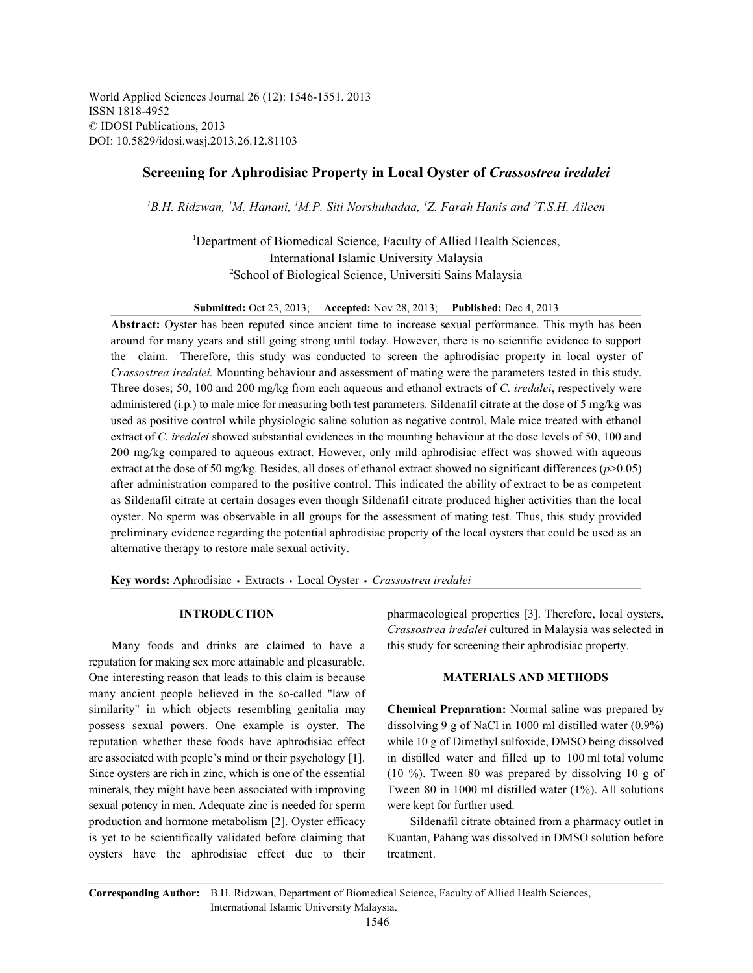World Applied Sciences Journal 26 (12): 1546-1551, 2013 ISSN 1818-4952 © IDOSI Publications, 2013 DOI: 10.5829/idosi.wasj.2013.26.12.81103

# **Screening for Aphrodisiac Property in Local Oyster of** *Crassostrea iredalei*

*B.H. Ridzwan, M. Hanani, M.P. Siti Norshuhadaa, Z. Farah Hanis and T.S.H. Aileen 1 11 <sup>1</sup> <sup>2</sup>*

<sup>1</sup>Department of Biomedical Science, Faculty of Allied Health Sciences, International Islamic University Malaysia <sup>2</sup>School of Biological Science, Universiti Sains Malaysia

**Submitted:** Oct 23, 2013; **Accepted:** Nov 28, 2013; **Published:** Dec 4, 2013

**Abstract:** Oyster has been reputed since ancient time to increase sexual performance. This myth has been around for many years and still going strong until today. However, there is no scientific evidence to support the claim. Therefore, this study was conducted to screen the aphrodisiac property in local oyster of *Crassostrea iredalei.* Mounting behaviour and assessment of mating were the parameters tested in this study. Three doses; 50, 100 and 200 mg/kg from each aqueous and ethanol extracts of *C. iredalei*, respectively were administered (i.p.) to male mice for measuring both test parameters. Sildenafil citrate at the dose of 5 mg/kg was used as positive control while physiologic saline solution as negative control. Male mice treated with ethanol extract of *C. iredalei* showed substantial evidences in the mounting behaviour at the dose levels of 50, 100 and 200 mg/kg compared to aqueous extract. However, only mild aphrodisiac effect was showed with aqueous extract at the dose of 50 mg/kg. Besides, all doses of ethanol extract showed no significant differences ( $p$ >0.05) after administration compared to the positive control. This indicated the ability of extract to be as competent as Sildenafil citrate at certain dosages even though Sildenafil citrate produced higher activities than the local oyster. No sperm was observable in all groups for the assessment of mating test. Thus, this study provided preliminary evidence regarding the potential aphrodisiac property of the local oysters that could be used as an alternative therapy to restore male sexual activity.

Key words: Aphrodisiac · Extracts · Local Oyster · Crassostrea iredalei

Many foods and drinks are claimed to have a this study for screening their aphrodisiac property. reputation for making sex more attainable and pleasurable. One interesting reason that leads to this claim is because **MATERIALS AND METHODS** many ancient people believed in the so-called "law of similarity" in which objects resembling genitalia may **Chemical Preparation:** Normal saline was prepared by possess sexual powers. One example is oyster. The dissolving 9 g of NaCl in 1000 ml distilled water (0.9%) reputation whether these foods have aphrodisiac effect while 10 g of Dimethyl sulfoxide, DMSO being dissolved are associated with people's mind or their psychology [1]. in distilled water and filled up to 100 ml total volume Since oysters are rich in zinc, which is one of the essential (10 %). Tween 80 was prepared by dissolving 10 g of minerals, they might have been associated with improving Tween 80 in 1000 ml distilled water (1%). All solutions sexual potency in men. Adequate zinc is needed for sperm were kept for further used. production and hormone metabolism [2]. Oyster efficacy Sildenafil citrate obtained from a pharmacy outlet in is yet to be scientifically validated before claiming that Kuantan, Pahang was dissolved in DMSO solution before oysters have the aphrodisiac effect due to their treatment.

**INTRODUCTION** pharmacological properties [3]. Therefore, local oysters, *Crassostrea iredalei* cultured in Malaysia was selected in

**Corresponding Author:** B.H. Ridzwan, Department of Biomedical Science, Faculty of Allied Health Sciences, International Islamic University Malaysia.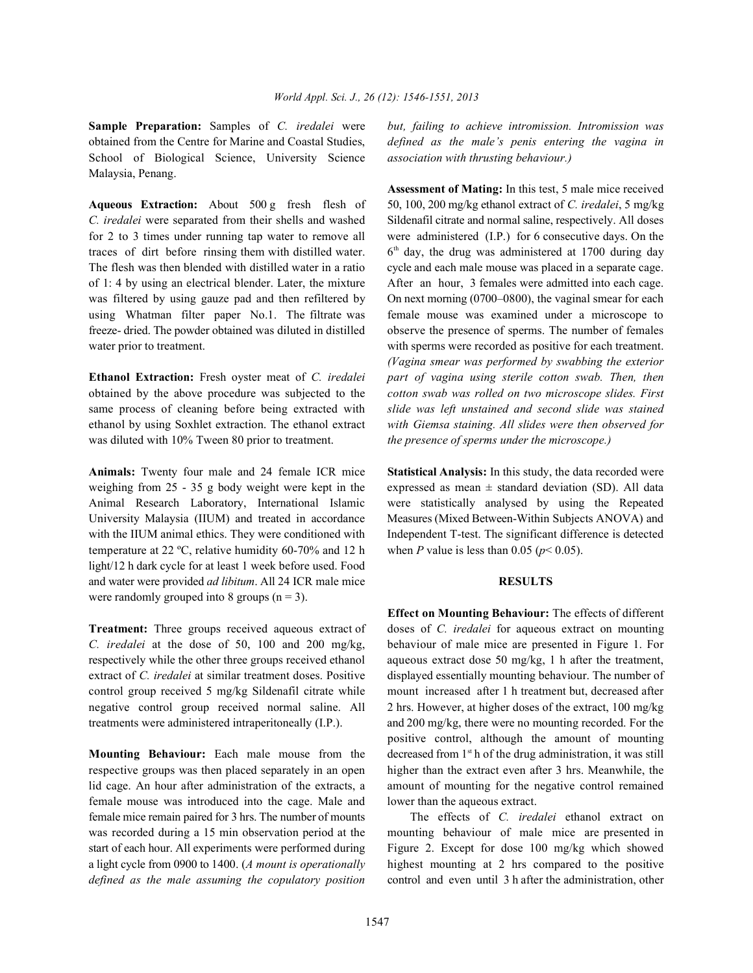**Sample Preparation:** Samples of *C. iredalei* were *but, failing to achieve intromission. Intromission was* obtained from the Centre for Marine and Coastal Studies, *defined as the male's penis entering the vagina in* School of Biological Science, University Science *association with thrusting behaviour.)* Malaysia, Penang.

*C. iredalei* were separated from their shells and washed Sildenafil citrate and normal saline, respectively. All doses for 2 to 3 times under running tap water to remove all were administered (I.P.) for 6 consecutive days. On the traces of dirt before rinsing them with distilled water.  $6<sup>th</sup>$  day, the drug was administered at 1700 during day The flesh was then blended with distilled water in a ratio cycle and each male mouse was placed in a separate cage. of 1: 4 by using an electrical blender. Later, the mixture After an hour, 3 females were admitted into each cage. was filtered by using gauze pad and then refiltered by On next morning (0700–0800), the vaginal smear for each using Whatman filter paper No.1. The filtrate was female mouse was examined under a microscope to freeze- dried. The powder obtained was diluted in distilled observe the presence of sperms. The number of females water prior to treatment. With sperms were recorded as positive for each treatment.

obtained by the above procedure was subjected to the *cotton swab was rolled on two microscope slides. First* same process of cleaning before being extracted with *slide was left unstained and second slide was stained* ethanol by using Soxhlet extraction. The ethanol extract *with Giemsa staining. All slides were then observed for* was diluted with 10% Tween 80 prior to treatment. *the presence of sperms under the microscope.)*

temperature at 22 °C, relative humidity 60-70% and 12 h when *P* value is less than 0.05 ( $p < 0.05$ ). light/12 h dark cycle for at least 1 week before used. Food and water were provided *ad libitum*. All 24 ICR male mice **RESULTS** were randomly grouped into 8 groups  $(n = 3)$ .

*C. iredalei* at the dose of 50, 100 and 200 mg/kg, behaviour of male mice are presented in Figure 1. For respectively while the other three groups received ethanol aqueous extract dose 50 mg/kg, 1 h after the treatment, extract of *C. iredalei* at similar treatment doses. Positive displayed essentially mounting behaviour. The number of control group received 5 mg/kg Sildenafil citrate while mount increased after 1 h treatment but, decreased after negative control group received normal saline. All 2 hrs. However, at higher doses of the extract, 100 mg/kg

**Mounting Behaviour:** Each male mouse from the female mouse was introduced into the cage. Male and lower than the aqueous extract. female mice remain paired for 3 hrs. The number of mounts The effects of *C. iredalei* ethanol extract on

**Aqueous Extraction:** About 500 g fresh flesh of 50, 100, 200 mg/kg ethanol extract of *C. iredalei*, 5 mg/kg **Ethanol Extraction:** Fresh oyster meat of *C. iredalei part of vagina using sterile cotton swab. Then, then* **Assessment of Mating:** In this test, 5 male mice received *(Vagina smear was performed by swabbing the exterior*

**Animals:** Twenty four male and 24 female ICR mice **Statistical Analysis:** In this study, the data recorded were weighing from 25 - 35 g body weight were kept in the expressed as mean  $\pm$  standard deviation (SD). All data Animal Research Laboratory, International Islamic were statistically analysed by using the Repeated University Malaysia (IIUM) and treated in accordance Measures (Mixed Between-Within Subjects ANOVA) and with the IIUM animal ethics. They were conditioned with Independent T-test. The significant difference is detected

**Treatment:** Three groups received aqueous extract of doses of *C. iredalei* for aqueous extract on mounting treatments were administered intraperitoneally (I.P.). and 200 mg/kg, there were no mounting recorded. For the respective groups was then placed separately in an open higher than the extract even after 3 hrs. Meanwhile, the lid cage. An hour after administration of the extracts, a amount of mounting for the negative control remained **Effect on Mounting Behaviour:** The effects of different positive control, although the amount of mounting decreased from  $1<sup>st</sup>$  h of the drug administration, it was still

was recorded during a 15 min observation period at the mounting behaviour of male mice are presented in start of each hour. All experiments were performed during Figure 2. Except for dose 100 mg/kg which showed a light cycle from 0900 to 1400. (*A mount is operationally* highest mounting at 2 hrs compared to the positive *defined as the male assuming the copulatory position* control and even until 3 h after the administration, other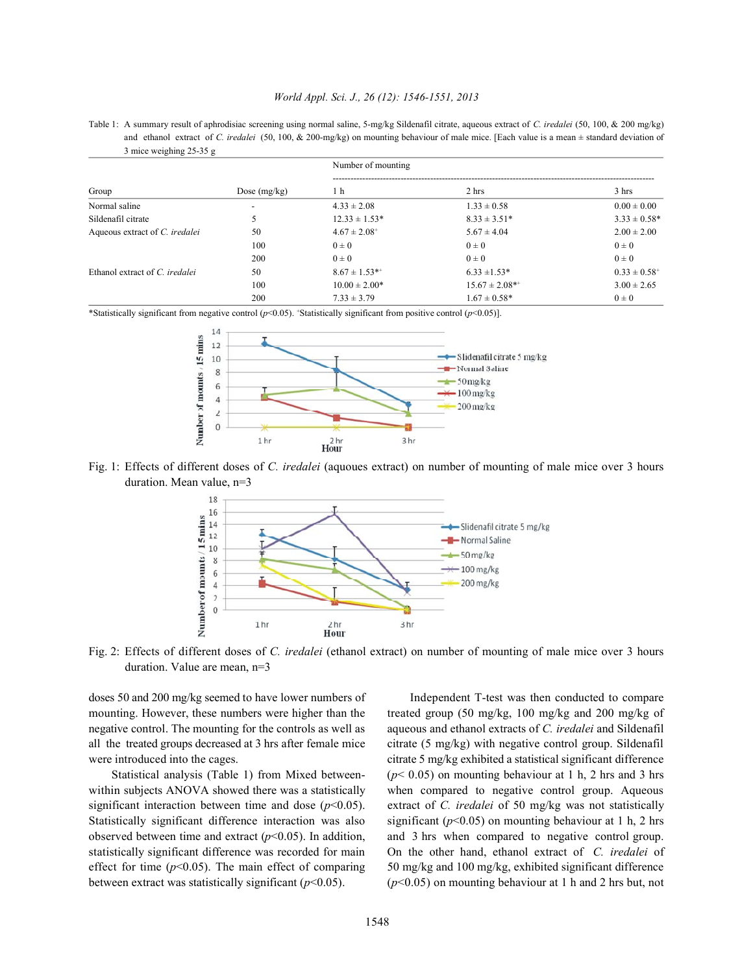## *World Appl. Sci. J., 26 (12): 1546-1551, 2013*

Table 1: A summary result of aphrodisiac screening using normal saline, 5-mg/kg Sildenafil citrate, aqueous extract of *C. iredalei* (50, 100, & 200 mg/kg) and ethanol extract of *C. iredalei* (50, 100, & 200-mg/kg) on mounting behaviour of male mice. [Each value is a mean ± standard deviation of 3 mice weighing 25-35 g

| Group                          | Dose $(mg/kg)$ | Number of mounting           |                     |                              |
|--------------------------------|----------------|------------------------------|---------------------|------------------------------|
|                                |                | 1 <sub>h</sub>               | 2 hrs               | 3 hrs                        |
| Normal saline                  |                | $4.33 \pm 2.08$              | $1.33 \pm 0.58$     | $0.00 \pm 0.00$              |
| Sildenafil citrate             |                | $12.33 \pm 1.53*$            | $8.33 \pm 3.51*$    | $3.33 \pm 0.58^*$            |
| Aqueous extract of C. iredalei | 50             | $4.67 \pm 2.08$ <sup>+</sup> | $5.67 \pm 4.04$     | $2.00 \pm 2.00$              |
|                                | 100            | $0 \pm 0$                    | $0 \pm 0$           | $0\pm 0$                     |
|                                | 200            | $0\pm 0$                     | $0 \pm 0$           | $0\pm 0$                     |
| Ethanol extract of C. iredalei | 50             | $8.67 \pm 1.53$ **           | $6.33 \pm 1.53*$    | $0.33 \pm 0.58$ <sup>+</sup> |
|                                | 100            | $10.00 \pm 2.00*$            | $15.67 \pm 2.08$ ** | $3.00 \pm 2.65$              |
|                                | 200            | $7.33 \pm 3.79$              | $1.67 \pm 0.58$ *   | $0\pm 0$                     |

\*Statistically significant from negative control (*p*<0.05). Statistically significant from positive control (*p*<0.05)]. <sup>+</sup>



Fig. 1: Effects of different doses of *C. iredalei* (aquoues extract) on number of mounting of male mice over 3 hours duration. Mean value, n=3



Fig. 2: Effects of different doses of *C. iredalei* (ethanol extract) on number of mounting of male mice over 3 hours duration. Value are mean, n=3

doses 50 and 200 mg/kg seemed to have lower numbers of Independent T-test was then conducted to compare mounting. However, these numbers were higher than the treated group (50 mg/kg, 100 mg/kg and 200 mg/kg of negative control. The mounting for the controls as well as aqueous and ethanol extracts of *C. iredalei* and Sildenafil all the treated groups decreased at 3 hrs after female mice citrate (5 mg/kg) with negative control group. Sildenafil were introduced into the cages. citrate 5 mg/kg exhibited a statistical significant difference

Statistical analysis (Table 1) from Mixed between-  $(p< 0.05)$  on mounting behaviour at 1 h, 2 hrs and 3 hrs within subjects ANOVA showed there was a statistically when compared to negative control group. Aqueous significant interaction between time and dose  $(p<0.05)$ . extract of *C. iredalei* of 50 mg/kg was not statistically Statistically significant difference interaction was also significant ( $p$ <0.05) on mounting behaviour at 1 h, 2 hrs observed between time and extract  $(p<0.05)$ . In addition, and 3 hrs when compared to negative control group. statistically significant difference was recorded for main On the other hand, ethanol extract of *C. iredalei* of effect for time ( $p$ <0.05). The main effect of comparing 50 mg/kg and 100 mg/kg, exhibited significant difference between extract was statistically significant (*p*<0.05). (*p*<0.05) on mounting behaviour at 1 h and 2 hrs but, not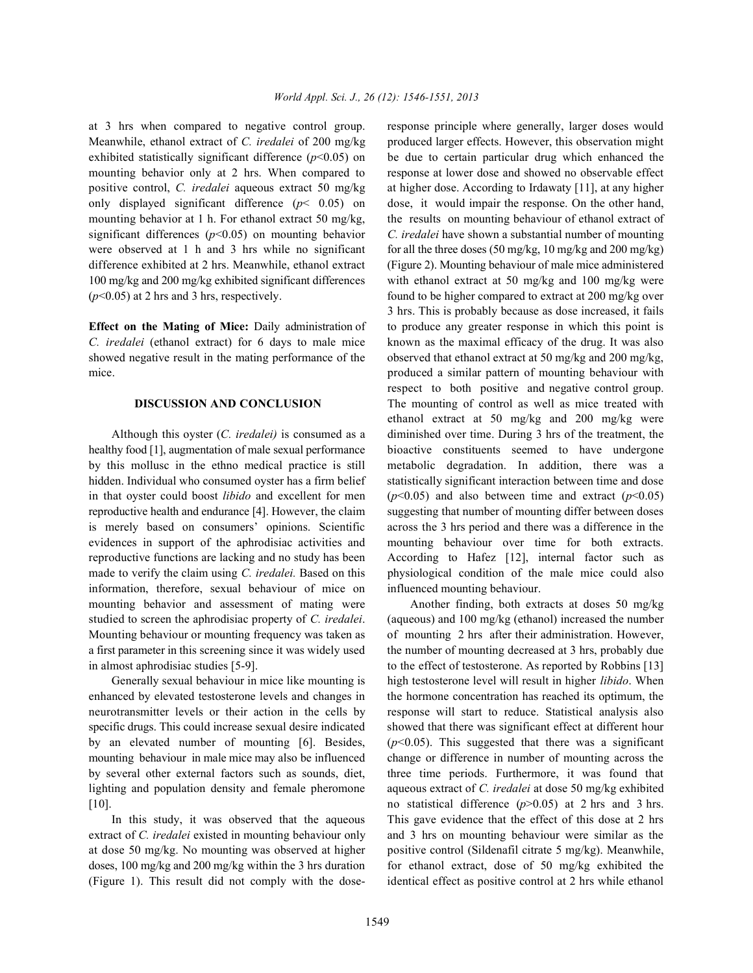Meanwhile, ethanol extract of *C. iredalei* of 200 mg/kg produced larger effects. However, this observation might exhibited statistically significant difference  $(p<0.05)$  on be due to certain particular drug which enhanced the mounting behavior only at 2 hrs. When compared to response at lower dose and showed no observable effect positive control, *C. iredalei* aqueous extract 50 mg/kg at higher dose. According to Irdawaty [11], at any higher only displayed significant difference  $(p< 0.05)$  on dose, it would impair the response. On the other hand, mounting behavior at 1 h. For ethanol extract 50 mg/kg, the results on mounting behaviour of ethanol extract of significant differences ( $p$ <0.05) on mounting behavior *C. iredalei* have shown a substantial number of mounting were observed at 1 h and 3 hrs while no significant for all the three doses (50 mg/kg, 10 mg/kg and 200 mg/kg) difference exhibited at 2 hrs. Meanwhile, ethanol extract (Figure 2). Mounting behaviour of male mice administered 100 mg/kg and 200 mg/kg exhibited significant differences with ethanol extract at 50 mg/kg and 100 mg/kg were ( $p$ <0.05) at 2 hrs and 3 hrs, respectively. found to be higher compared to extract at 200 mg/kg over

*C. iredalei* (ethanol extract) for 6 days to male mice known as the maximal efficacy of the drug. It was also showed negative result in the mating performance of the observed that ethanol extract at 50 mg/kg and 200 mg/kg, mice. **produced a similar pattern of mounting behaviour with**  $\frac{1}{2}$  moduced a similar pattern of mounting behaviour with

healthy food [1], augmentation of male sexual performance bioactive constituents seemed to have undergone by this mollusc in the ethno medical practice is still metabolic degradation. In addition, there was a hidden. Individual who consumed oyster has a firm belief statistically significant interaction between time and dose in that oyster could boost *libido* and excellent for men  $(p<0.05)$  and also between time and extract  $(p<0.05)$ reproductive health and endurance [4]. However, the claim suggesting that number of mounting differ between doses is merely based on consumers' opinions. Scientific across the 3 hrs period and there was a difference in the evidences in support of the aphrodisiac activities and mounting behaviour over time for both extracts. reproductive functions are lacking and no study has been According to Hafez [12], internal factor such as made to verify the claim using *C. iredalei.* Based on this physiological condition of the male mice could also information, therefore, sexual behaviour of mice on influenced mounting behaviour. mounting behavior and assessment of mating were Another finding, both extracts at doses 50 mg/kg studied to screen the aphrodisiac property of *C. iredalei*. (aqueous) and 100 mg/kg (ethanol) increased the number Mounting behaviour or mounting frequency was taken as of mounting 2 hrs after their administration. However, a first parameter in this screening since it was widely used the number of mounting decreased at 3 hrs, probably due in almost aphrodisiac studies [5-9]. to the effect of testosterone. As reported by Robbins [13]

enhanced by elevated testosterone levels and changes in the hormone concentration has reached its optimum, the neurotransmitter levels or their action in the cells by response will start to reduce. Statistical analysis also specific drugs. This could increase sexual desire indicated showed that there was significant effect at different hour by an elevated number of mounting [6]. Besides, (*p*<0.05). This suggested that there was a significant mounting behaviour in male mice may also be influenced change or difference in number of mounting across the by several other external factors such as sounds, diet, three time periods. Furthermore, it was found that lighting and population density and female pheromone aqueous extract of *C. iredalei* at dose 50 mg/kg exhibited [10]. no statistical difference (*p*>0.05) at 2 hrs and 3 hrs.

extract of *C. iredalei* existed in mounting behaviour only and 3 hrs on mounting behaviour were similar as the at dose 50 mg/kg. No mounting was observed at higher positive control (Sildenafil citrate 5 mg/kg). Meanwhile, doses, 100 mg/kg and 200 mg/kg within the 3 hrs duration for ethanol extract, dose of 50 mg/kg exhibited the (Figure 1). This result did not comply with the dose- identical effect as positive control at 2 hrs while ethanol

at 3 hrs when compared to negative control group. response principle where generally, larger doses would **Effect on the Mating of Mice:** Daily administration of to produce any greater response in which this point is **DISCUSSION AND CONCLUSION** The mounting of control as well as mice treated with Although this oyster (*C. iredalei)* is consumed as a diminished over time. During 3 hrs of the treatment, the 3 hrs. This is probably because as dose increased, it fails respect to both positive and negative control group. ethanol extract at 50 mg/kg and 200 mg/kg were

Generally sexual behaviour in mice like mounting is high testosterone level will result in higher *libido*. When In this study, it was observed that the aqueous This gave evidence that the effect of this dose at 2 hrs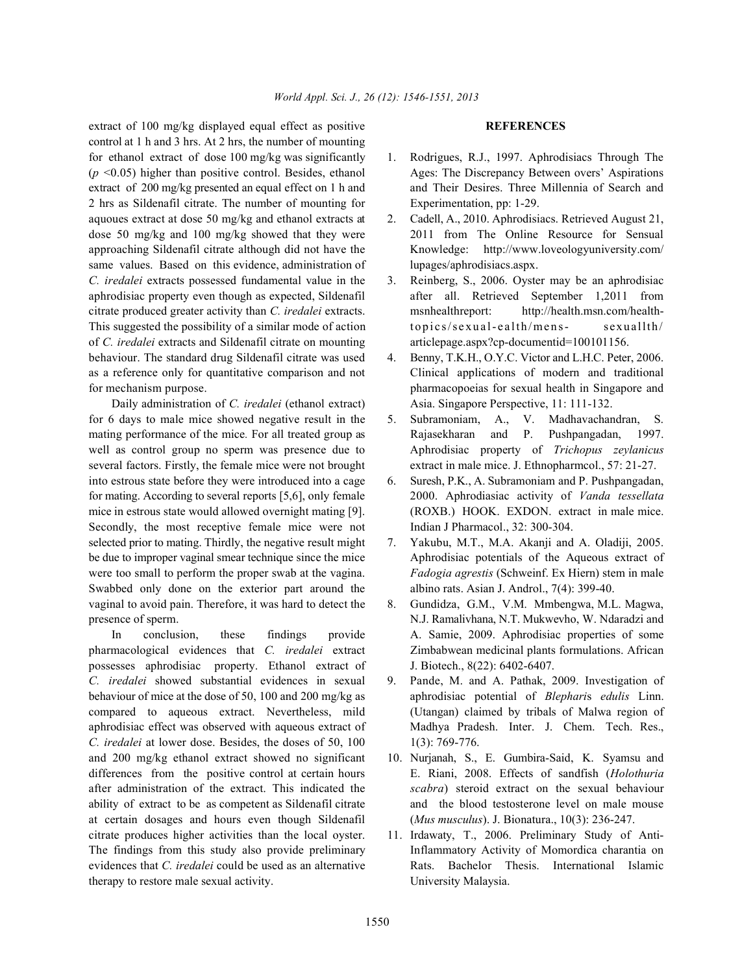extract of 100 mg/kg displayed equal effect as positive **REFERENCES** control at 1 h and 3 hrs. At 2 hrs, the number of mounting for ethanol extract of dose 100 mg/kg was significantly 1. Rodrigues, R.J., 1997. Aphrodisiacs Through The  $(p \le 0.05)$  higher than positive control. Besides, ethanol Ages: The Discrepancy Between overs' Aspirations extract of 200 mg/kg presented an equal effect on 1 h and and Their Desires. Three Millennia of Search and 2 hrs as Sildenafil citrate. The number of mounting for Experimentation, pp: 1-29. aquoues extract at dose 50 mg/kg and ethanol extracts at 2. Cadell, A., 2010. Aphrodisiacs. Retrieved August 21, dose 50 mg/kg and 100 mg/kg showed that they were 2011 from The Online Resource for Sensual approaching Sildenafil citrate although did not have the Knowledge: http://www.loveologyuniversity.com/ same values. Based on this evidence, administration of lupages/aphrodisiacs.aspx. *C. iredalei* extracts possessed fundamental value in the 3. Reinberg, S., 2006. Oyster may be an aphrodisiac aphrodisiac property even though as expected, Sildenafil after all. Retrieved September 1,2011 from citrate produced greater activity than *C. iredalei* extracts. msnhealthreport: http://health.msn.com/health-This suggested the possibility of a similar mode of action topics/sexual-ealth/mens-sexuallth/ of *C. iredalei* extracts and Sildenafil citrate on mounting articlepage.aspx?cp-documentid=100101156. behaviour. The standard drug Sildenafil citrate was used 4. Benny, T.K.H., O.Y.C. Victor and L.H.C. Peter, 2006. as a reference only for quantitative comparison and not Clinical applications of modern and traditional for mechanism purpose. **pharmacopoeias for sexual health in Singapore and** 

for 6 days to male mice showed negative result in the 5. Subramoniam, A., V. Madhavachandran, S. mating performance of the mice. For all treated group as **Rajasekharan** and P. Pushpangadan, 1997. well as control group no sperm was presence due to Aphrodisiac property of *Trichopus zeylanicus* several factors. Firstly, the female mice were not brought extract in male mice. J. Ethnopharmcol., 57: 21-27. into estrous state before they were introduced into a cage 6. Suresh, P.K., A. Subramoniam and P. Pushpangadan, for mating. According to several reports [5,6], only female 2000. Aphrodiasiac activity of *Vanda tessellata* mice in estrous state would allowed overnight mating [9]. (ROXB.) HOOK. EXDON. extract in male mice. Secondly, the most receptive female mice were not Indian J Pharmacol., 32: 300-304. selected prior to mating. Thirdly, the negative result might 7. Yakubu, M.T., M.A. Akanji and A. Oladiji, 2005. be due to improper vaginal smear technique since the mice Aphrodisiac potentials of the Aqueous extract of were too small to perform the proper swab at the vagina. *Fadogia agrestis* (Schweinf. Ex Hiern) stem in male Swabbed only done on the exterior part around the albino rats. Asian J. Androl., 7(4): 399-40. vaginal to avoid pain. Therefore, it was hard to detect the 8. Gundidza, G.M., V.M. Mmbengwa, M.L. Magwa, presence of sperm. N.J. Ramalivhana, N.T. Mukwevho, W. Ndaradzi and

pharmacological evidences that *C. iredalei* extract Zimbabwean medicinal plants formulations. African possesses aphrodisiac property. Ethanol extract of J. Biotech., 8(22): 6402-6407. *C. iredalei* showed substantial evidences in sexual 9. Pande, M. and A. Pathak, 2009. Investigation of behaviour of mice at the dose of 50, 100 and 200 mg/kg as aphrodisiac potential of *Blephari*s *edulis* Linn. aphrodisiac effect was observed with aqueous extract of Madhya Pradesh. Inter. J. Chem. Tech. Res., *C. iredalei* at lower dose. Besides, the doses of 50, 100 1(3): 769-776. and 200 mg/kg ethanol extract showed no significant 10. Nurjanah, S., E. Gumbira-Said, K. Syamsu and differences from the positive control at certain hours E. Riani, 2008. Effects of sandfish (*Holothuria* after administration of the extract. This indicated the *scabra*) steroid extract on the sexual behaviour ability of extract to be as competent as Sildenafil citrate and the blood testosterone level on male mouse at certain dosages and hours even though Sildenafil (*Mus musculus*). J. Bionatura., 10(3): 236-247. citrate produces higher activities than the local oyster. 11. Irdawaty, T., 2006. Preliminary Study of Anti-The findings from this study also provide preliminary Inflammatory Activity of Momordica charantia on evidences that *C. iredalei* could be used as an alternative Rats. Bachelor Thesis. International Islamic therapy to restore male sexual activity. University Malaysia.

- 
- 
- 
- Daily administration of *C. iredalei* (ethanol extract) Asia. Singapore Perspective, 11: 111-132.
	-
	-
	-
- In conclusion, these findings provide A. Samie, 2009. Aphrodisiac properties of some
- compared to aqueous extract. Nevertheless, mild (Utangan) claimed by tribals of Malwa region of
	-
	-